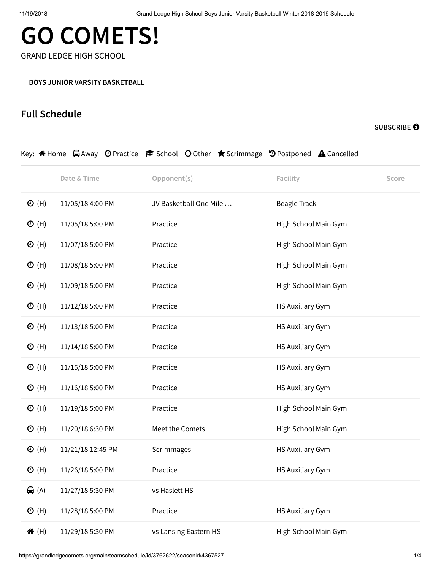## **GO COMETS!**

GRAND LEDGE HIGH SCHOOL

## **Full Schedule**

**[SUBSCRIBE](https://grandledgecomets.org/main/teamschedule/id/3762622/seasonid/4367527/ical/1)**

|                 |                   | Key: A Home A Away ⊙ Practice r School O Other ★ Scrimmage ♡ Postponed A Cancelled |                      |       |
|-----------------|-------------------|------------------------------------------------------------------------------------|----------------------|-------|
|                 | Date & Time       | Opponent(s)                                                                        | Facility             | Score |
| $\Theta$ (H)    | 11/05/18 4:00 PM  | JV Basketball One Mile                                                             | Beagle Track         |       |
| $\Theta$ (H)    | 11/05/18 5:00 PM  | Practice                                                                           | High School Main Gym |       |
| $\Theta$ (H)    | 11/07/18 5:00 PM  | Practice                                                                           | High School Main Gym |       |
| $\Theta$ (H)    | 11/08/18 5:00 PM  | Practice                                                                           | High School Main Gym |       |
| $\Theta$ (H)    | 11/09/18 5:00 PM  | Practice                                                                           | High School Main Gym |       |
| $\Theta$ (H)    | 11/12/18 5:00 PM  | Practice                                                                           | HS Auxiliary Gym     |       |
| $\Theta$ (H)    | 11/13/18 5:00 PM  | Practice                                                                           | HS Auxiliary Gym     |       |
| $\odot$ (H)     | 11/14/18 5:00 PM  | Practice                                                                           | HS Auxiliary Gym     |       |
| $\Theta$ (H)    | 11/15/18 5:00 PM  | Practice                                                                           | HS Auxiliary Gym     |       |
| $\Theta$ (H)    | 11/16/18 5:00 PM  | Practice                                                                           | HS Auxiliary Gym     |       |
| $\Theta$ (H)    | 11/19/18 5:00 PM  | Practice                                                                           | High School Main Gym |       |
| $\Theta$ (H)    | 11/20/18 6:30 PM  | Meet the Comets                                                                    | High School Main Gym |       |
| $\Theta$ (H)    | 11/21/18 12:45 PM | Scrimmages                                                                         | HS Auxiliary Gym     |       |
| $\Theta$ (H)    | 11/26/18 5:00 PM  | Practice                                                                           | HS Auxiliary Gym     |       |
| $\bigoplus$ (A) | 11/27/18 5:30 PM  | vs Haslett HS                                                                      |                      |       |
| $\odot$ (H)     | 11/28/18 5:00 PM  | Practice                                                                           | HS Auxiliary Gym     |       |
| <b>谷(H)</b>     | 11/29/18 5:30 PM  | vs Lansing Eastern HS                                                              | High School Main Gym |       |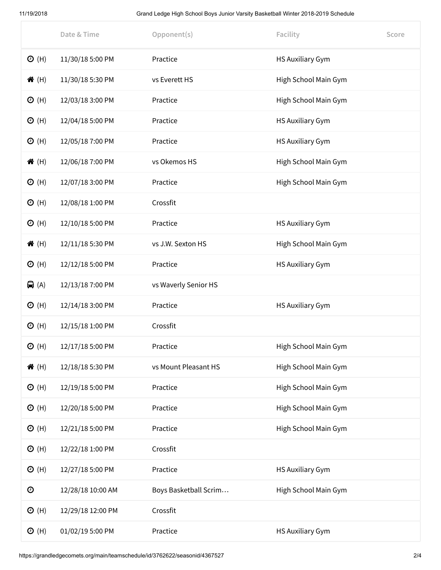11/19/2018 Grand Ledge High School Boys Junior Varsity Basketball Winter 2018-2019 Schedule

|                   | Date & Time       | Opponent(s)           | Facility                | Score |
|-------------------|-------------------|-----------------------|-------------------------|-------|
| $\odot$ (H)       | 11/30/18 5:00 PM  | Practice              | <b>HS Auxiliary Gym</b> |       |
| <b>谷</b> (H)      | 11/30/18 5:30 PM  | vs Everett HS         | High School Main Gym    |       |
| $\Theta$ (H)      | 12/03/18 3:00 PM  | Practice              | High School Main Gym    |       |
| $\Theta$ (H)      | 12/04/18 5:00 PM  | Practice              | HS Auxiliary Gym        |       |
| $\Theta$ (H)      | 12/05/18 7:00 PM  | Practice              | HS Auxiliary Gym        |       |
| <b>谷</b> (H)      | 12/06/18 7:00 PM  | vs Okemos HS          | High School Main Gym    |       |
| $\Theta$ (H)      | 12/07/18 3:00 PM  | Practice              | High School Main Gym    |       |
| $\odot$ (H)       | 12/08/18 1:00 PM  | Crossfit              |                         |       |
| $\Theta$ (H)      | 12/10/18 5:00 PM  | Practice              | HS Auxiliary Gym        |       |
| <b>谷</b> (H)      | 12/11/18 5:30 PM  | vs J.W. Sexton HS     | High School Main Gym    |       |
| $\Theta$ (H)      | 12/12/18 5:00 PM  | Practice              | HS Auxiliary Gym        |       |
| $\bigoplus$ (A)   | 12/13/18 7:00 PM  | vs Waverly Senior HS  |                         |       |
| $\Theta$ (H)      | 12/14/18 3:00 PM  | Practice              | HS Auxiliary Gym        |       |
| $\Theta$ (H)      | 12/15/18 1:00 PM  | Crossfit              |                         |       |
| $\Theta$ (H)      | 12/17/18 5:00 PM  | Practice              | High School Main Gym    |       |
| <b>谷</b> (H)      | 12/18/18 5:30 PM  | vs Mount Pleasant HS  | High School Main Gym    |       |
| $\odot$ (H)       | 12/19/18 5:00 PM  | Practice              | High School Main Gym    |       |
| $\Theta$ (H)      | 12/20/18 5:00 PM  | Practice              | High School Main Gym    |       |
| $\Theta$ (H)      | 12/21/18 5:00 PM  | Practice              | High School Main Gym    |       |
| $\Theta$ (H)      | 12/22/18 1:00 PM  | Crossfit              |                         |       |
| $\Theta$ (H)      | 12/27/18 5:00 PM  | Practice              | HS Auxiliary Gym        |       |
| $\mathbf{\Theta}$ | 12/28/18 10:00 AM | Boys Basketball Scrim | High School Main Gym    |       |
| $\Theta$ (H)      | 12/29/18 12:00 PM | Crossfit              |                         |       |
| $\Theta$ (H)      | 01/02/19 5:00 PM  | Practice              | HS Auxiliary Gym        |       |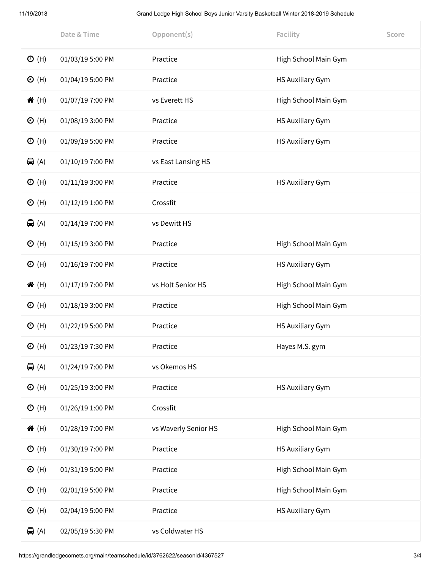11/19/2018 Grand Ledge High School Boys Junior Varsity Basketball Winter 2018-2019 Schedule

|                 | Date & Time      | Opponent(s)          | Facility             | Score |
|-----------------|------------------|----------------------|----------------------|-------|
| $\Theta$ (H)    | 01/03/19 5:00 PM | Practice             | High School Main Gym |       |
| $\Theta$ (H)    | 01/04/19 5:00 PM | Practice             | HS Auxiliary Gym     |       |
| <b>谷</b> (H)    | 01/07/19 7:00 PM | vs Everett HS        | High School Main Gym |       |
| $\Theta$ (H)    | 01/08/19 3:00 PM | Practice             | HS Auxiliary Gym     |       |
| $\Theta$ (H)    | 01/09/19 5:00 PM | Practice             | HS Auxiliary Gym     |       |
| $\bigoplus$ (A) | 01/10/19 7:00 PM | vs East Lansing HS   |                      |       |
| $\Theta$ (H)    | 01/11/19 3:00 PM | Practice             | HS Auxiliary Gym     |       |
| $\odot$ (H)     | 01/12/19 1:00 PM | Crossfit             |                      |       |
| $\bigoplus$ (A) | 01/14/19 7:00 PM | vs Dewitt HS         |                      |       |
| $\Theta$ (H)    | 01/15/19 3:00 PM | Practice             | High School Main Gym |       |
| $\Theta$ (H)    | 01/16/19 7:00 PM | Practice             | HS Auxiliary Gym     |       |
| <b>谷</b> (H)    | 01/17/19 7:00 PM | vs Holt Senior HS    | High School Main Gym |       |
| $\Theta$ (H)    | 01/18/19 3:00 PM | Practice             | High School Main Gym |       |
| $\Theta$ (H)    | 01/22/19 5:00 PM | Practice             | HS Auxiliary Gym     |       |
| O(H)            | 01/23/19 7:30 PM | Practice             | Hayes M.S. gym       |       |
| $\bigoplus$ (A) | 01/24/19 7:00 PM | vs Okemos HS         |                      |       |
| $\Theta$ (H)    | 01/25/19 3:00 PM | Practice             | HS Auxiliary Gym     |       |
| $\odot$ (H)     | 01/26/19 1:00 PM | Crossfit             |                      |       |
| <b>谷</b> (H)    | 01/28/19 7:00 PM | vs Waverly Senior HS | High School Main Gym |       |
| $\Theta$ (H)    | 01/30/19 7:00 PM | Practice             | HS Auxiliary Gym     |       |
| $\odot$ (H)     | 01/31/19 5:00 PM | Practice             | High School Main Gym |       |
| $\Theta$ (H)    | 02/01/19 5:00 PM | Practice             | High School Main Gym |       |
| $\odot$ (H)     | 02/04/19 5:00 PM | Practice             | HS Auxiliary Gym     |       |
| $\bigoplus$ (A) | 02/05/19 5:30 PM | vs Coldwater HS      |                      |       |